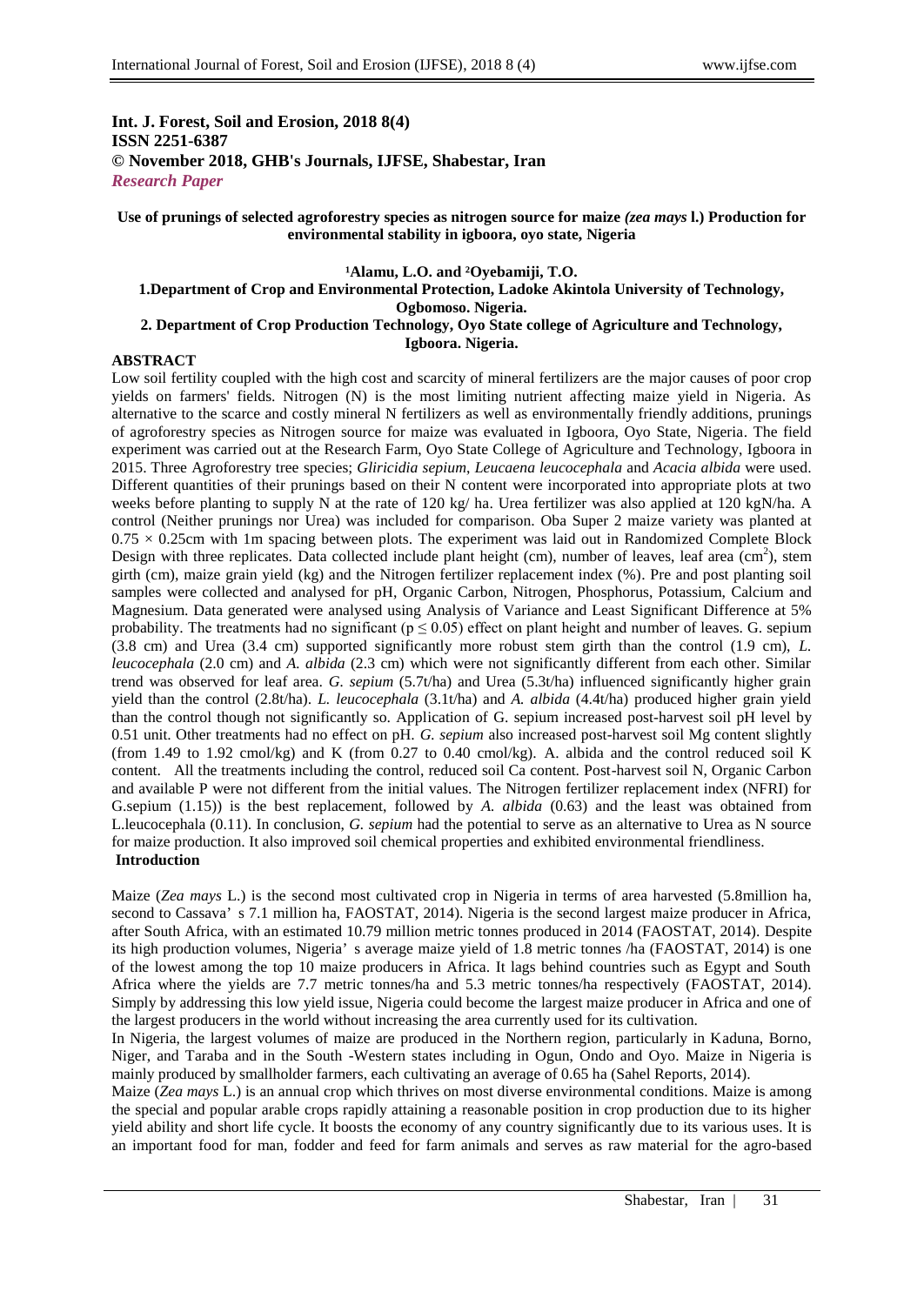## **Int. J. Forest, Soil and Erosion, 2018 8(4) ISSN 2251-6387 © November 2018, GHB's Journals, IJFSE, Shabestar, Iran** *Research Paper*

### **Use of prunings of selected agroforestry species as nitrogen source for maize** *(zea mays* **l.) Production for environmental stability in igboora, oyo state, Nigeria**

## **¹Alamu, L.O. and ²Oyebamiji, T.O.**

### **1.Department of Crop and Environmental Protection, Ladoke Akintola University of Technology, Ogbomoso. Nigeria. 2. Department of Crop Production Technology, Oyo State college of Agriculture and Technology,**

**Igboora. Nigeria.**

#### **ABSTRACT**

Low soil fertility coupled with the high cost and scarcity of mineral fertilizers are the major causes of poor crop yields on farmers' fields. Nitrogen (N) is the most limiting nutrient affecting maize yield in Nigeria. As alternative to the scarce and costly mineral N fertilizers as well as environmentally friendly additions, prunings of agroforestry species as Nitrogen source for maize was evaluated in Igboora, Oyo State, Nigeria. The field experiment was carried out at the Research Farm, Oyo State College of Agriculture and Technology, Igboora in 2015. Three Agroforestry tree species; *Gliricidia sepium*, *Leucaena leucocephala* and *Acacia albida* were used. Different quantities of their prunings based on their N content were incorporated into appropriate plots at two weeks before planting to supply N at the rate of 120 kg/ ha. Urea fertilizer was also applied at 120 kgN/ha. A control (Neither prunings nor Urea) was included for comparison. Oba Super 2 maize variety was planted at  $0.75 \times 0.25$ cm with 1m spacing between plots. The experiment was laid out in Randomized Complete Block Design with three replicates. Data collected include plant height (cm), number of leaves, leaf area  $\text{(cm}^2\text{)}$ , stem girth (cm), maize grain yield (kg) and the Nitrogen fertilizer replacement index (%). Pre and post planting soil samples were collected and analysed for pH, Organic Carbon, Nitrogen, Phosphorus, Potassium, Calcium and Magnesium. Data generated were analysed using Analysis of Variance and Least Significant Difference at 5% probability. The treatments had no significant ( $p \le 0.05$ ) effect on plant height and number of leaves. G. sepium (3.8 cm) and Urea (3.4 cm) supported significantly more robust stem girth than the control (1.9 cm), *L. leucocephala* (2.0 cm) and *A. albida* (2.3 cm) which were not significantly different from each other. Similar trend was observed for leaf area. *G. sepium* (5.7t/ha) and Urea (5.3t/ha) influenced significantly higher grain yield than the control (2.8t/ha). *L. leucocephala* (3.1t/ha) and *A. albida* (4.4t/ha) produced higher grain yield than the control though not significantly so. Application of G. sepium increased post-harvest soil pH level by 0.51 unit. Other treatments had no effect on pH. *G. sepium* also increased post-harvest soil Mg content slightly (from 1.49 to 1.92 cmol/kg) and K (from 0.27 to 0.40 cmol/kg). A. albida and the control reduced soil K content. All the treatments including the control, reduced soil Ca content. Post-harvest soil N, Organic Carbon and available P were not different from the initial values. The Nitrogen fertilizer replacement index (NFRI) for G.sepium (1.15)) is the best replacement, followed by *A. albida* (0.63) and the least was obtained from L.leucocephala (0.11). In conclusion, *G. sepium* had the potential to serve as an alternative to Urea as N source for maize production. It also improved soil chemical properties and exhibited environmental friendliness. **Introduction**

Maize (*Zea mays* L.) is the second most cultivated crop in Nigeria in terms of area harvested (5.8million ha, second to Cassava' s 7.1 million ha, FAOSTAT, 2014). Nigeria is the second largest maize producer in Africa, after South Africa, with an estimated 10.79 million metric tonnes produced in 2014 (FAOSTAT, 2014). Despite its high production volumes, Nigeria' s average maize yield of 1.8 metric tonnes /ha (FAOSTAT, 2014) is one of the lowest among the top 10 maize producers in Africa. It lags behind countries such as Egypt and South Africa where the yields are 7.7 metric tonnes/ha and 5.3 metric tonnes/ha respectively (FAOSTAT, 2014). Simply by addressing this low yield issue, Nigeria could become the largest maize producer in Africa and one of the largest producers in the world without increasing the area currently used for its cultivation.

In Nigeria, the largest volumes of maize are produced in the Northern region, particularly in Kaduna, Borno, Niger, and Taraba and in the South -Western states including in Ogun, Ondo and Oyo. Maize in Nigeria is mainly produced by smallholder farmers, each cultivating an average of 0.65 ha (Sahel Reports, 2014).

Maize (*Zea mays* L.) is an annual crop which thrives on most diverse environmental conditions. Maize is among the special and popular arable crops rapidly attaining a reasonable position in crop production due to its higher yield ability and short life cycle. It boosts the economy of any country significantly due to its various uses. It is an important food for man, fodder and feed for farm animals and serves as raw material for the agro-based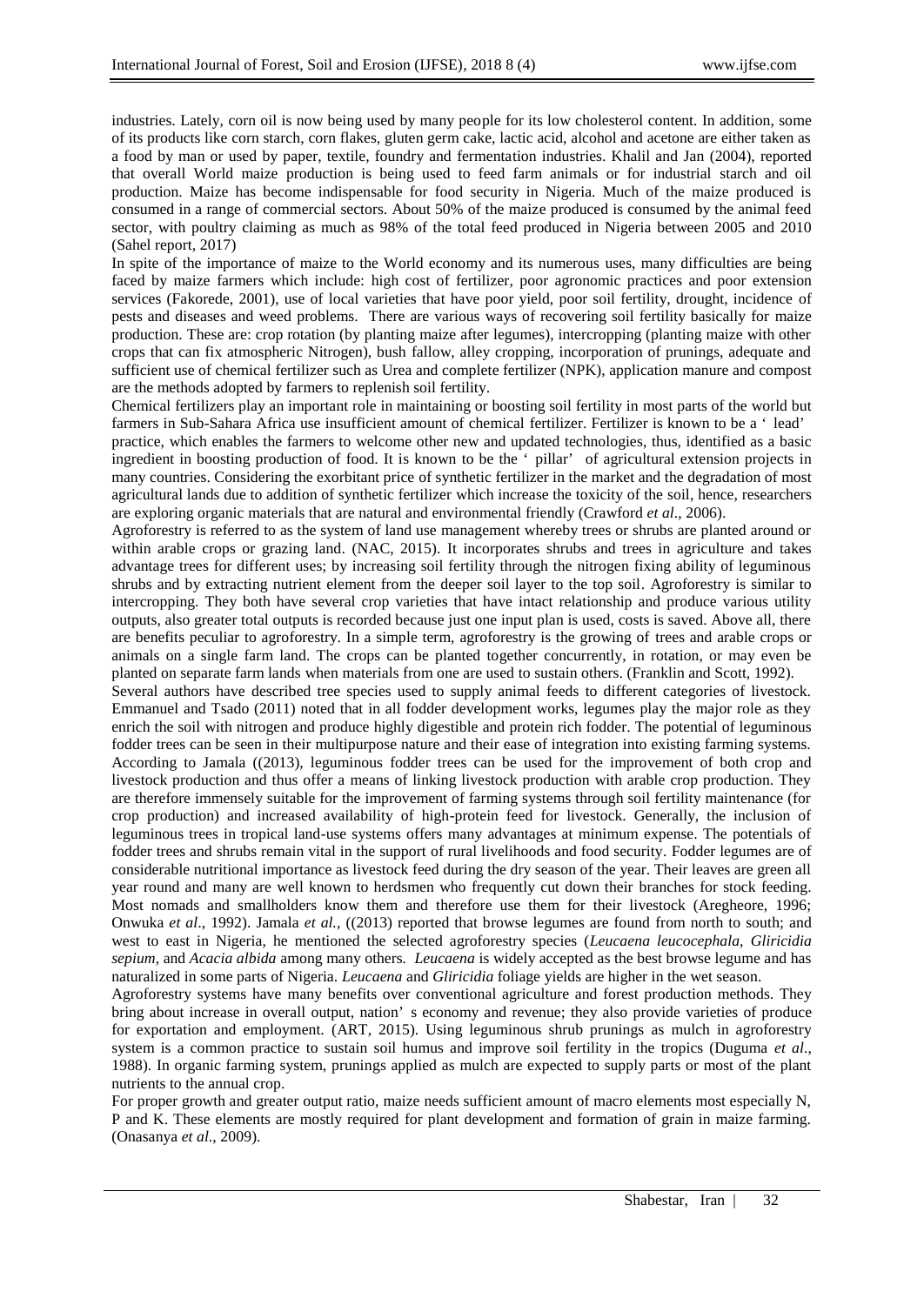industries. Lately, corn oil is now being used by many people for its low cholesterol content. In addition, some of its products like corn starch, corn flakes, gluten germ cake, lactic acid, alcohol and acetone are either taken as a food by man or used by paper, textile, foundry and fermentation industries. Khalil and Jan (2004), reported that overall World maize production is being used to feed farm animals or for industrial starch and oil production. Maize has become indispensable for food security in Nigeria. Much of the maize produced is consumed in a range of commercial sectors. About 50% of the maize produced is consumed by the animal feed sector, with poultry claiming as much as 98% of the total feed produced in Nigeria between 2005 and 2010 (Sahel report, 2017)

In spite of the importance of maize to the World economy and its numerous uses, many difficulties are being faced by maize farmers which include: high cost of fertilizer, poor agronomic practices and poor extension services (Fakorede, 2001), use of local varieties that have poor yield, poor soil fertility, drought, incidence of pests and diseases and weed problems. There are various ways of recovering soil fertility basically for maize production. These are: crop rotation (by planting maize after legumes), intercropping (planting maize with other crops that can fix atmospheric Nitrogen), bush fallow, alley cropping, incorporation of prunings, adequate and sufficient use of chemical fertilizer such as Urea and complete fertilizer (NPK), application manure and compost are the methods adopted by farmers to replenish soil fertility.

Chemical fertilizers play an important role in maintaining or boosting soil fertility in most parts of the world but farmers in Sub-Sahara Africa use insufficient amount of chemical fertilizer. Fertilizer is known to be a ' lead' practice, which enables the farmers to welcome other new and updated technologies, thus, identified as a basic ingredient in boosting production of food. It is known to be the ' pillar' of agricultural extension projects in many countries. Considering the exorbitant price of synthetic fertilizer in the market and the degradation of most agricultural lands due to addition of synthetic fertilizer which increase the toxicity of the soil, hence, researchers are exploring organic materials that are natural and environmental friendly (Crawford *et al*., 2006).

Agroforestry is referred to as the system of land use management whereby trees or shrubs are planted around or within arable crops or grazing land. (NAC, 2015). It incorporates shrubs and trees in agriculture and takes advantage trees for different uses; by increasing soil fertility through the nitrogen fixing ability of leguminous shrubs and by extracting nutrient element from the deeper soil layer to the top soil. Agroforestry is similar to intercropping. They both have several crop varieties that have intact relationship and produce various utility outputs, also greater total outputs is recorded because just one input plan is used, costs is saved. Above all, there are benefits peculiar to agroforestry. In a simple term, agroforestry is the growing of trees and arable crops or animals on a single farm land. The crops can be planted together concurrently, in rotation, or may even be planted on separate farm lands when materials from one are used to sustain others. (Franklin and Scott, 1992).

Several authors have described tree species used to supply animal feeds to different categories of livestock. Emmanuel and Tsado (2011) noted that in all fodder development works, legumes play the major role as they enrich the soil with nitrogen and produce highly digestible and protein rich fodder. The potential of leguminous fodder trees can be seen in their multipurpose nature and their ease of integration into existing farming systems. According to Jamala ((2013), leguminous fodder trees can be used for the improvement of both crop and livestock production and thus offer a means of linking livestock production with arable crop production. They are therefore immensely suitable for the improvement of farming systems through soil fertility maintenance (for crop production) and increased availability of high-protein feed for livestock. Generally, the inclusion of leguminous trees in tropical land-use systems offers many advantages at minimum expense. The potentials of fodder trees and shrubs remain vital in the support of rural livelihoods and food security. Fodder legumes are of considerable nutritional importance as livestock feed during the dry season of the year. Their leaves are green all year round and many are well known to herdsmen who frequently cut down their branches for stock feeding. Most nomads and smallholders know them and therefore use them for their livestock (Aregheore, 1996; Onwuka *et al*., 1992). Jamala *et al.,* ((2013) reported that browse legumes are found from north to south; and west to east in Nigeria, he mentioned the selected agroforestry species (*Leucaena leucocephala, Gliricidia sepium,* and *Acacia albida* among many others*. Leucaena* is widely accepted as the best browse legume and has naturalized in some parts of Nigeria. *Leucaena* and *Gliricidia* foliage yields are higher in the wet season.

Agroforestry systems have many benefits over conventional agriculture and forest production methods. They bring about increase in overall output, nation' s economy and revenue; they also provide varieties of produce for exportation and employment. (ART, 2015). Using leguminous shrub prunings as mulch in agroforestry system is a common practice to sustain soil humus and improve soil fertility in the tropics (Duguma *et al*., 1988). In organic farming system, prunings applied as mulch are expected to supply parts or most of the plant nutrients to the annual crop.

For proper growth and greater output ratio, maize needs sufficient amount of macro elements most especially N, P and K. These elements are mostly required for plant development and formation of grain in maize farming. (Onasanya *et al*., 2009).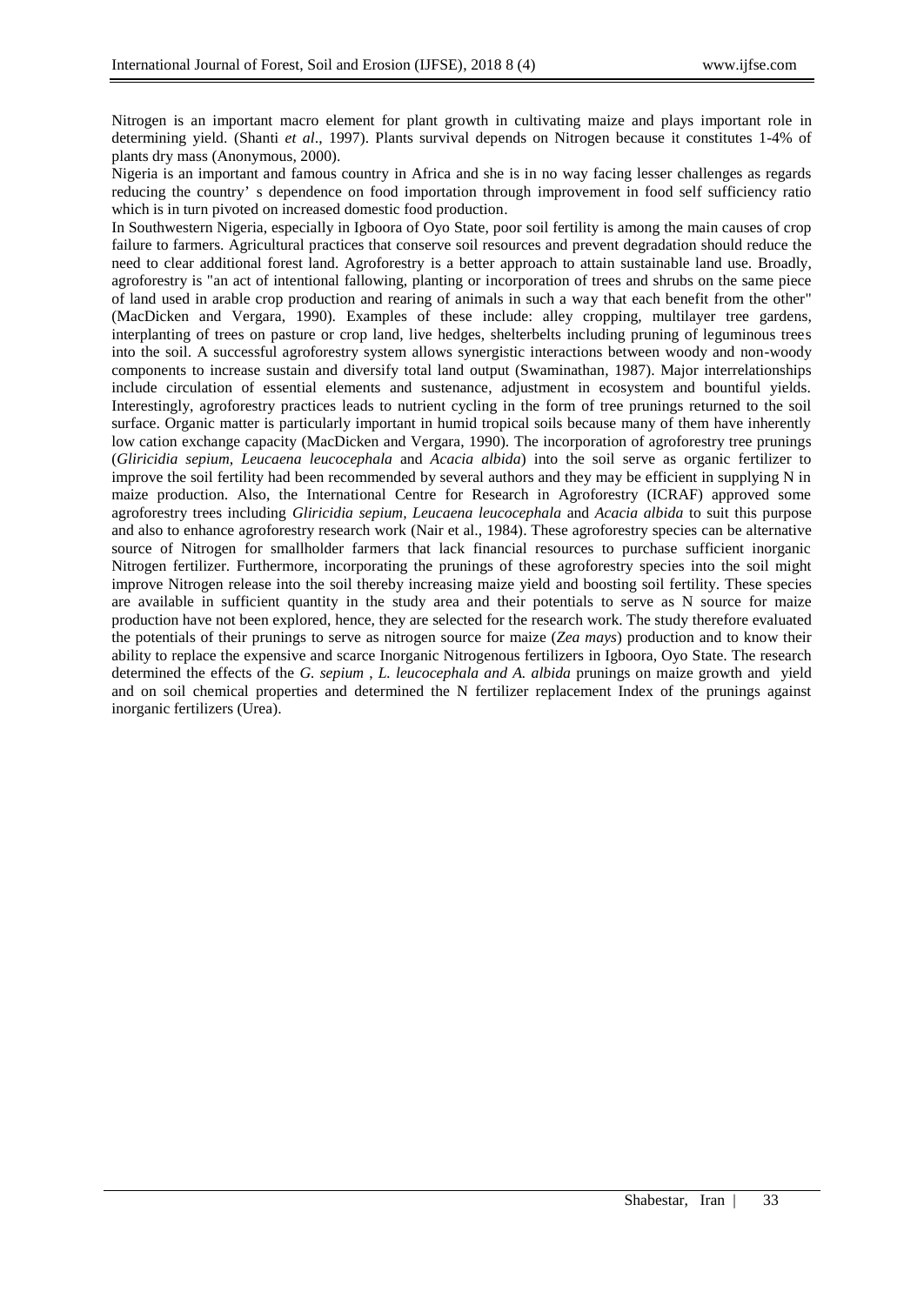Nitrogen is an important macro element for plant growth in cultivating maize and plays important role in determining yield. (Shanti *et al*., 1997). Plants survival depends on Nitrogen because it constitutes 1-4% of plants dry mass (Anonymous, 2000).

Nigeria is an important and famous country in Africa and she is in no way facing lesser challenges as regards reducing the country' s dependence on food importation through improvement in food self sufficiency ratio which is in turn pivoted on increased domestic food production.

In Southwestern Nigeria, especially in Igboora of Oyo State, poor soil fertility is among the main causes of crop failure to farmers. Agricultural practices that conserve soil resources and prevent degradation should reduce the need to clear additional forest land. Agroforestry is a better approach to attain sustainable land use. Broadly, agroforestry is "an act of intentional fallowing, planting or incorporation of trees and shrubs on the same piece of land used in arable crop production and rearing of animals in such a way that each benefit from the other" (MacDicken and Vergara, 1990). Examples of these include: alley cropping, multilayer tree gardens, interplanting of trees on pasture or crop land, live hedges, shelterbelts including pruning of leguminous trees into the soil. A successful agroforestry system allows synergistic interactions between woody and non-woody components to increase sustain and diversify total land output (Swaminathan, 1987). Major interrelationships include circulation of essential elements and sustenance, adjustment in ecosystem and bountiful yields. Interestingly, agroforestry practices leads to nutrient cycling in the form of tree prunings returned to the soil surface. Organic matter is particularly important in humid tropical soils because many of them have inherently low cation exchange capacity (MacDicken and Vergara, 1990). The incorporation of agroforestry tree prunings (*Gliricidia sepium, Leucaena leucocephala* and *Acacia albida*) into the soil serve as organic fertilizer to improve the soil fertility had been recommended by several authors and they may be efficient in supplying N in maize production. Also, the International Centre for Research in Agroforestry (ICRAF) approved some agroforestry trees including *Gliricidia sepium, Leucaena leucocephala* and *Acacia albida* to suit this purpose and also to enhance agroforestry research work (Nair et al., 1984). These agroforestry species can be alternative source of Nitrogen for smallholder farmers that lack financial resources to purchase sufficient inorganic Nitrogen fertilizer. Furthermore, incorporating the prunings of these agroforestry species into the soil might improve Nitrogen release into the soil thereby increasing maize yield and boosting soil fertility. These species are available in sufficient quantity in the study area and their potentials to serve as N source for maize production have not been explored, hence, they are selected for the research work. The study therefore evaluated the potentials of their prunings to serve as nitrogen source for maize (*Zea mays*) production and to know their ability to replace the expensive and scarce Inorganic Nitrogenous fertilizers in Igboora, Oyo State. The research determined the effects of the *G. sepium* , *L. leucocephala and A. albida* prunings on maize growth and yield and on soil chemical properties and determined the N fertilizer replacement Index of the prunings against inorganic fertilizers (Urea).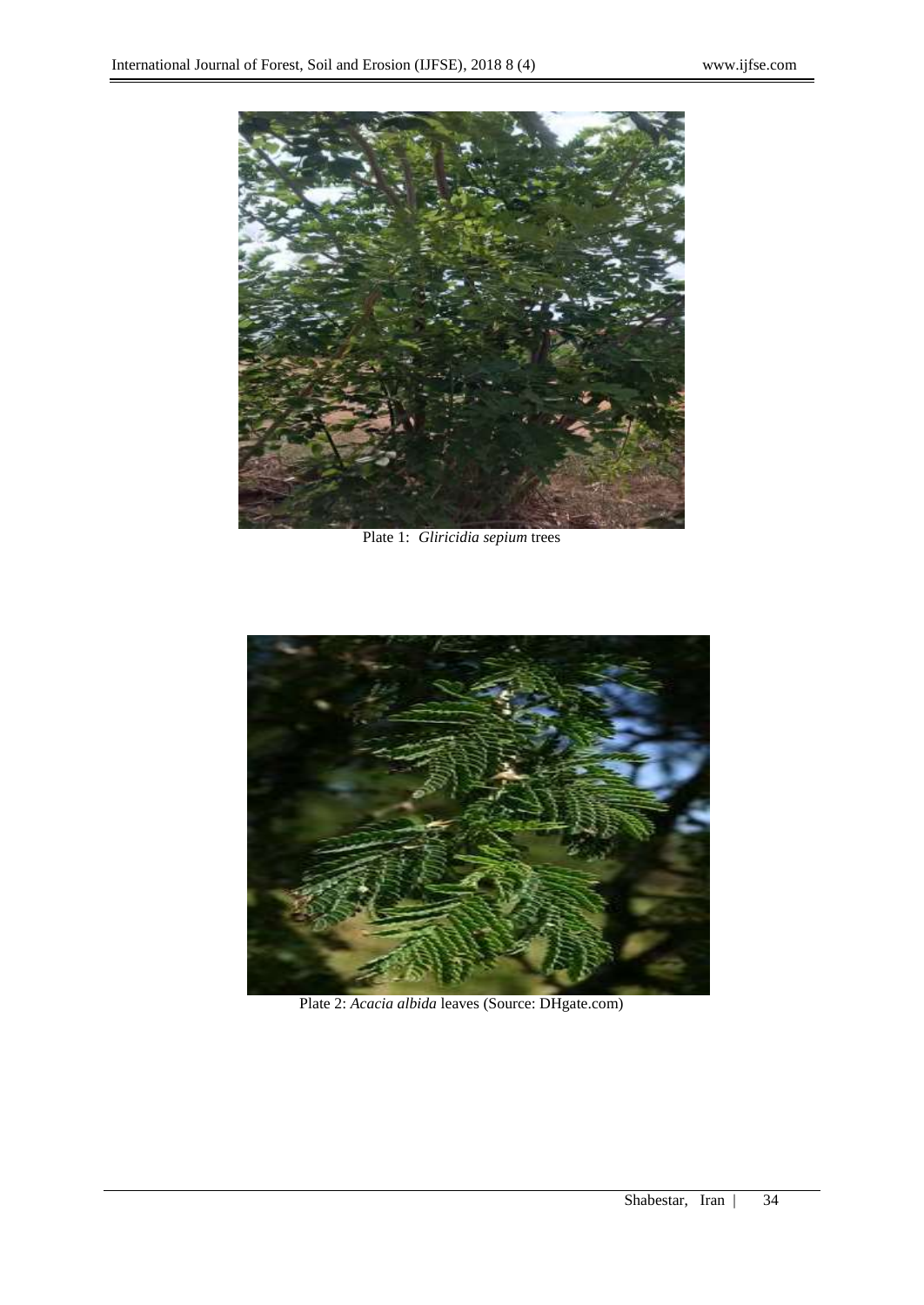

Plate 1: *Gliricidia sepium* trees



Plate 2: *Acacia albida* leaves (Source: DHgate.com)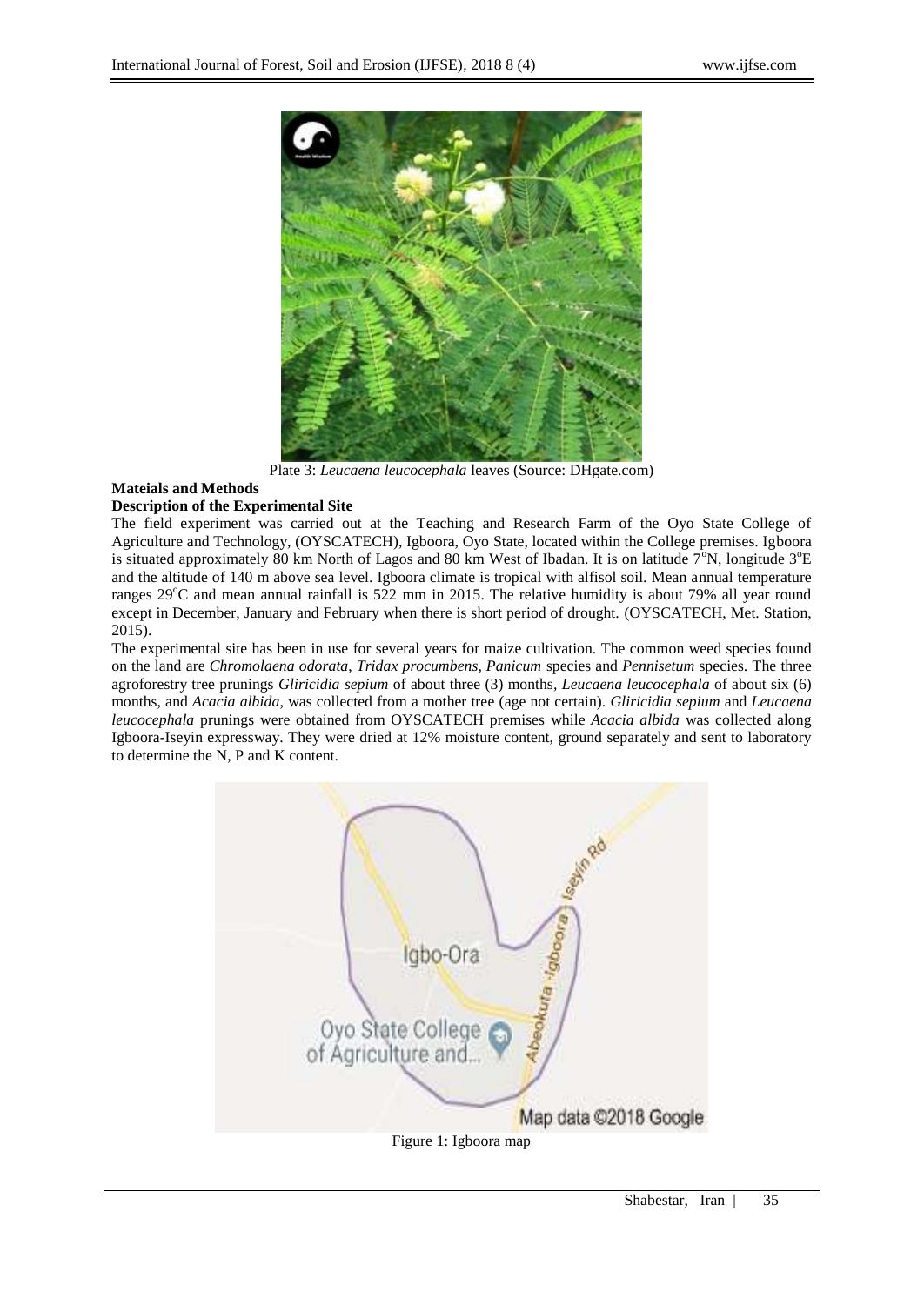

Plate 3: *Leucaena leucocephala* leaves (Source: DHgate.com)

## **Mateials and Methods**

## **Description of the Experimental Site**

The field experiment was carried out at the Teaching and Research Farm of the Oyo State College of Agriculture and Technology, (OYSCATECH), Igboora, Oyo State, located within the College premises. Igboora is situated approximately 80 km North of Lagos and 80 km West of Ibadan. It is on latitude  $7^\circ N$ , longitude  $3^\circ E$ and the altitude of 140 m above sea level. Igboora climate is tropical with alfisol soil. Mean annual temperature ranges 29<sup>o</sup>C and mean annual rainfall is 522 mm in 2015. The relative humidity is about 79% all year round except in December, January and February when there is short period of drought. (OYSCATECH, Met. Station, 2015).

The experimental site has been in use for several years for maize cultivation. The common weed species found on the land are *Chromolaena odorata, Tridax procumbens, Panicum* species and *Pennisetum* species. The three agroforestry tree prunings *Gliricidia sepium* of about three (3) months*, Leucaena leucocephala* of about six (6) months, and *Acacia albida,* was collected from a mother tree (age not certain). *Gliricidia sepium* and *Leucaena leucocephala* prunings were obtained from OYSCATECH premises while *Acacia albida* was collected along Igboora-Iseyin expressway. They were dried at 12% moisture content, ground separately and sent to laboratory to determine the N, P and K content.

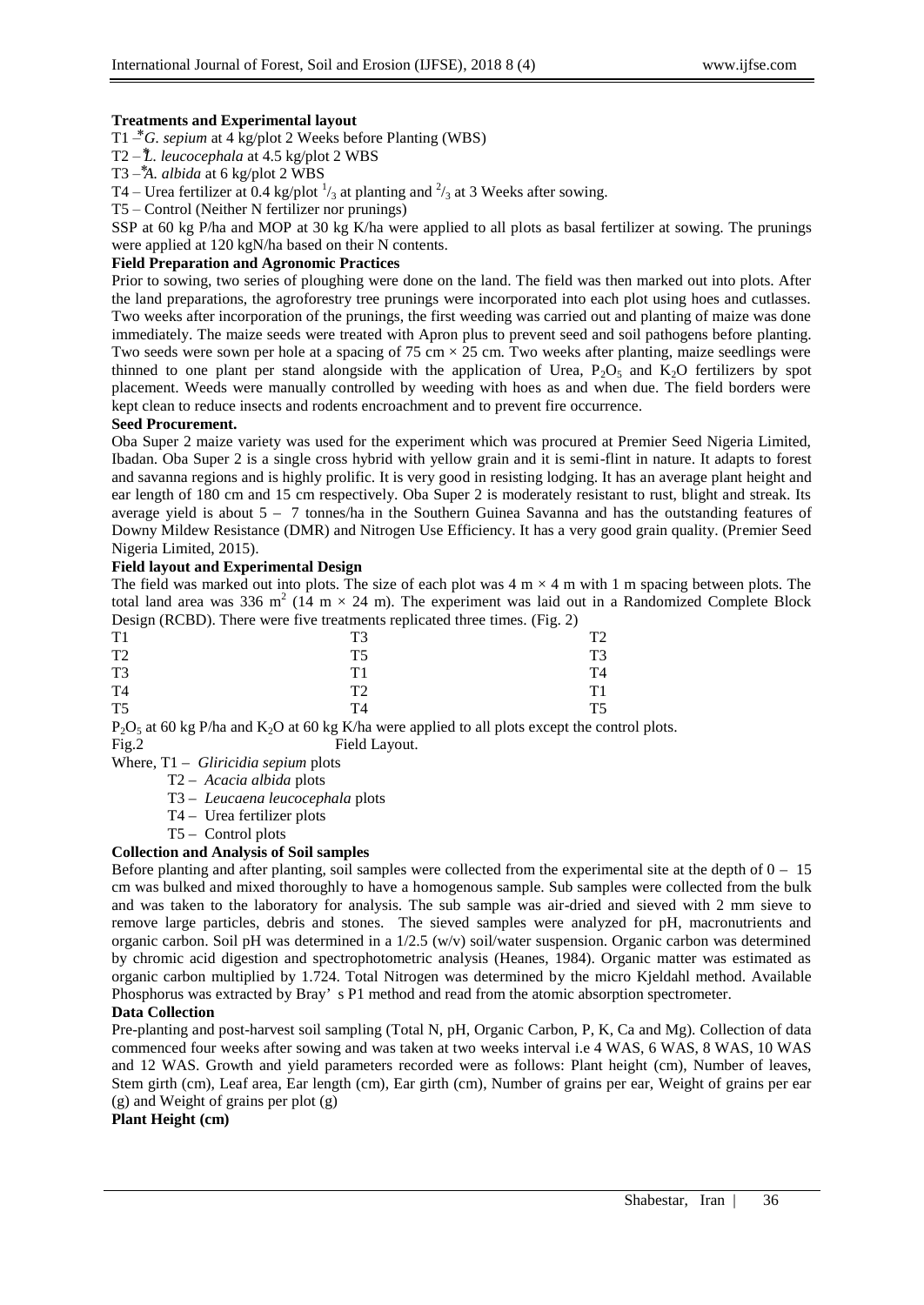### **Treatments and Experimental layout**

T1  $\overline{C}$ *G. sepium* at 4 kg/plot 2 Weeks before Planting (WBS)

T2 – *⃰L. leucocephala* at 4.5 kg/plot 2 WBS

T<sub>3</sub> $-\frac{4}{3}$ *A. albida* at 6 kg/plot 2 WBS

T4 – Urea fertilizer at 0.4 kg/plot  $\frac{1}{3}$  at planting and  $\frac{2}{3}$  at 3 Weeks after sowing.

T5 – Control (Neither N fertilizer nor prunings)

SSP at 60 kg P/ha and MOP at 30 kg K/ha were applied to all plots as basal fertilizer at sowing. The prunings were applied at 120 kgN/ha based on their N contents.

## **Field Preparation and Agronomic Practices**

Prior to sowing, two series of ploughing were done on the land. The field was then marked out into plots. After the land preparations, the agroforestry tree prunings were incorporated into each plot using hoes and cutlasses. Two weeks after incorporation of the prunings, the first weeding was carried out and planting of maize was done immediately. The maize seeds were treated with Apron plus to prevent seed and soil pathogens before planting. Two seeds were sown per hole at a spacing of 75 cm  $\times$  25 cm. Two weeks after planting, maize seedlings were thinned to one plant per stand alongside with the application of Urea,  $P_2O_5$  and  $K_2O$  fertilizers by spot placement. Weeds were manually controlled by weeding with hoes as and when due. The field borders were kept clean to reduce insects and rodents encroachment and to prevent fire occurrence.

#### **Seed Procurement.**

Oba Super 2 maize variety was used for the experiment which was procured at Premier Seed Nigeria Limited, Ibadan. Oba Super 2 is a single cross hybrid with yellow grain and it is semi-flint in nature. It adapts to forest and savanna regions and is highly prolific. It is very good in resisting lodging. It has an average plant height and ear length of 180 cm and 15 cm respectively. Oba Super 2 is moderately resistant to rust, blight and streak. Its average yield is about 5 – 7 tonnes/ha in the Southern Guinea Savanna and has the outstanding features of Downy Mildew Resistance (DMR) and Nitrogen Use Efficiency. It has a very good grain quality. (Premier Seed Nigeria Limited, 2015).

### **Field layout and Experimental Design**

The field was marked out into plots. The size of each plot was  $4 \text{ m} \times 4 \text{ m}$  with 1 m spacing between plots. The total land area was 336 m<sup>2</sup> (14 m  $\times$  24 m). The experiment was laid out in a Randomized Complete Block Design (RCBD). There were five treatments replicated three times. (Fig. 2)

|                | $\tilde{\phantom{a}}$ | $\overline{\phantom{a}}$ | $\tilde{\phantom{a}}$ |                |
|----------------|-----------------------|--------------------------|-----------------------|----------------|
| T1             |                       | T <sub>3</sub>           |                       | T <sub>2</sub> |
| T <sub>2</sub> |                       | T <sub>5</sub>           |                       | T <sub>3</sub> |
| T <sub>3</sub> |                       | T1                       |                       | T <sub>4</sub> |
| T <sub>4</sub> |                       | T <sub>2</sub>           |                       | T1             |
| T <sub>5</sub> |                       | T <sub>4</sub>           |                       | T <sub>5</sub> |

 $P_2O_5$  at 60 kg P/ha and  $K_2O$  at 60 kg K/ha were applied to all plots except the control plots. Fig.2 Field Layout.

- Where, T1 *Gliricidia sepium* plots
	- T2 *Acacia albida* plots
	- T3 *Leucaena leucocephala* plots
	- T4 Urea fertilizer plots
	- T5 Control plots

## **Collection and Analysis of Soil samples**

Before planting and after planting, soil samples were collected from the experimental site at the depth of  $0 - 15$ cm was bulked and mixed thoroughly to have a homogenous sample. Sub samples were collected from the bulk and was taken to the laboratory for analysis. The sub sample was air-dried and sieved with 2 mm sieve to remove large particles, debris and stones. The sieved samples were analyzed for pH, macronutrients and organic carbon. Soil pH was determined in a 1/2.5 (w/v) soil/water suspension. Organic carbon was determined by chromic acid digestion and spectrophotometric analysis (Heanes, 1984). Organic matter was estimated as organic carbon multiplied by 1.724. Total Nitrogen was determined by the micro Kjeldahl method. Available Phosphorus was extracted by Bray' s P1 method and read from the atomic absorption spectrometer.

#### **Data Collection**

Pre-planting and post-harvest soil sampling (Total N, pH, Organic Carbon, P, K, Ca and Mg). Collection of data commenced four weeks after sowing and was taken at two weeks interval i.e 4 WAS, 6 WAS, 8 WAS, 10 WAS and 12 WAS. Growth and yield parameters recorded were as follows: Plant height (cm), Number of leaves, Stem girth (cm), Leaf area, Ear length (cm), Ear girth (cm), Number of grains per ear, Weight of grains per ear (g) and Weight of grains per plot (g)

## **Plant Height (cm)**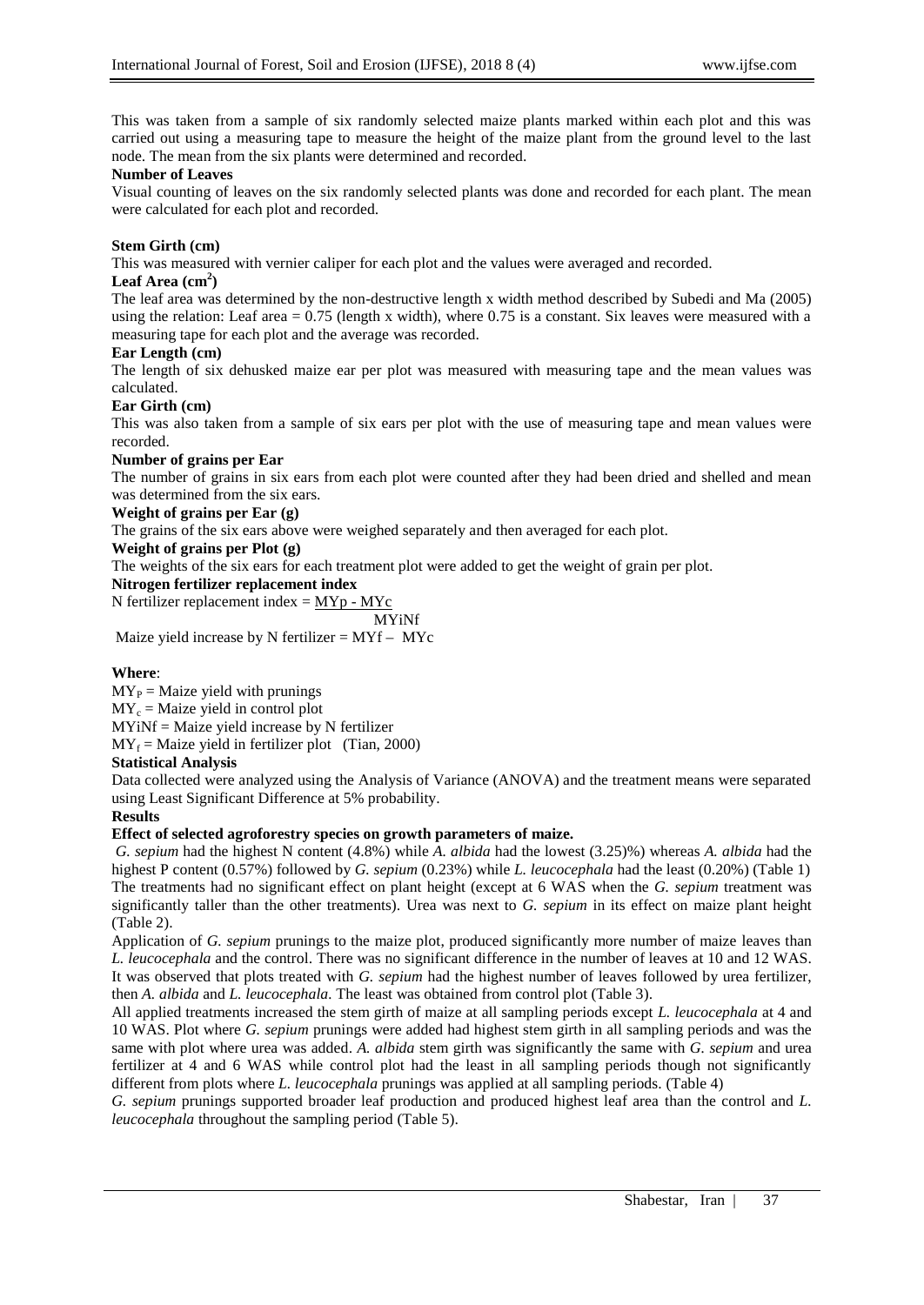This was taken from a sample of six randomly selected maize plants marked within each plot and this was carried out using a measuring tape to measure the height of the maize plant from the ground level to the last node. The mean from the six plants were determined and recorded.

#### **Number of Leaves**

Visual counting of leaves on the six randomly selected plants was done and recorded for each plant. The mean were calculated for each plot and recorded.

### **Stem Girth (cm)**

This was measured with vernier caliper for each plot and the values were averaged and recorded.

## **Leaf Area (cm<sup>2</sup> )**

The leaf area was determined by the non-destructive length x width method described by Subedi and Ma (2005) using the relation: Leaf area  $= 0.75$  (length x width), where 0.75 is a constant. Six leaves were measured with a measuring tape for each plot and the average was recorded.

### **Ear Length (cm)**

The length of six dehusked maize ear per plot was measured with measuring tape and the mean values was calculated.

### **Ear Girth (cm)**

This was also taken from a sample of six ears per plot with the use of measuring tape and mean values were recorded.

### **Number of grains per Ear**

The number of grains in six ears from each plot were counted after they had been dried and shelled and mean was determined from the six ears.

## **Weight of grains per Ear (g)**

The grains of the six ears above were weighed separately and then averaged for each plot.

## **Weight of grains per Plot (g)**

The weights of the six ears for each treatment plot were added to get the weight of grain per plot.

# **Nitrogen fertilizer replacement index**

N fertilizer replacement index =  $MYp - MYc$ 

 MYiNf Maize yield increase by N fertilizer =  $MYf - MYc$ 

## **Where**:

 $MY<sub>P</sub> = Maize yield with pruning$ 

 $MY_c = Maize$  yield in control plot

MYiNf = Maize yield increase by N fertilizer

 $MY_f = Maize$  yield in fertilizer plot (Tian, 2000)

## **Statistical Analysis**

Data collected were analyzed using the Analysis of Variance (ANOVA) and the treatment means were separated using Least Significant Difference at 5% probability.

#### **Results**

#### **Effect of selected agroforestry species on growth parameters of maize.**

*G. sepium* had the highest N content (4.8%) while *A. albida* had the lowest (3.25)%) whereas *A. albida* had the highest P content (0.57%) followed by *G. sepium* (0.23%) while *L. leucocephala* had the least (0.20%) (Table 1) The treatments had no significant effect on plant height (except at 6 WAS when the *G. sepium* treatment was significantly taller than the other treatments). Urea was next to *G. sepium* in its effect on maize plant height (Table 2).

Application of *G. sepium* prunings to the maize plot, produced significantly more number of maize leaves than *L. leucocephala* and the control. There was no significant difference in the number of leaves at 10 and 12 WAS. It was observed that plots treated with *G. sepium* had the highest number of leaves followed by urea fertilizer, then *A. albida* and *L. leucocephala.* The least was obtained from control plot (Table 3).

All applied treatments increased the stem girth of maize at all sampling periods except *L. leucocephala* at 4 and 10 WAS. Plot where *G. sepium* prunings were added had highest stem girth in all sampling periods and was the same with plot where urea was added. *A. albida* stem girth was significantly the same with *G. sepium* and urea fertilizer at 4 and 6 WAS while control plot had the least in all sampling periods though not significantly different from plots where *L. leucocephala* prunings was applied at all sampling periods. (Table 4)

*G. sepium* prunings supported broader leaf production and produced highest leaf area than the control and *L. leucocephala* throughout the sampling period (Table 5).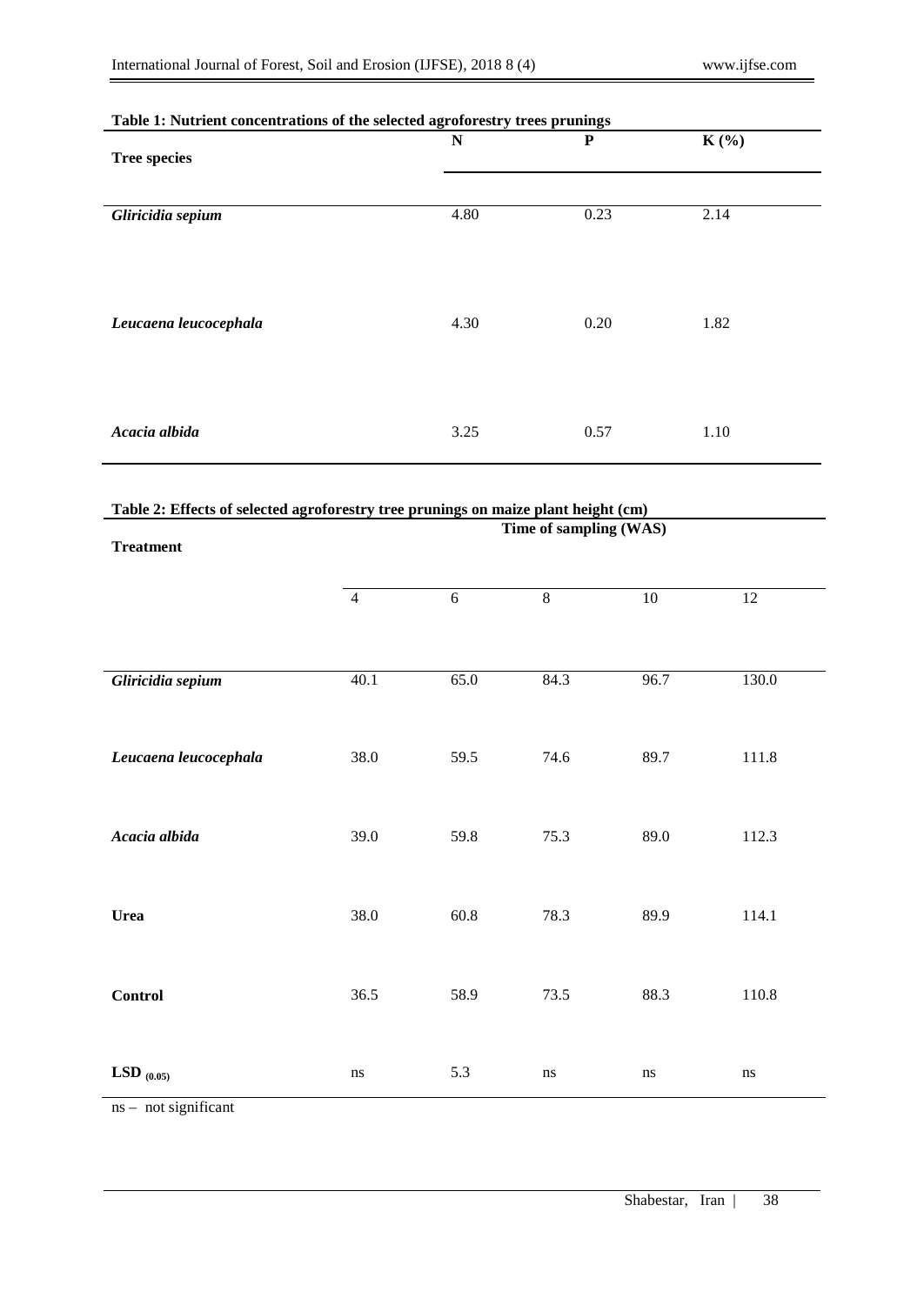| Table 1. Put left concentrations of the selected agrointestly trees prunings |             |           |         |  |
|------------------------------------------------------------------------------|-------------|-----------|---------|--|
| <b>Tree species</b>                                                          | $\mathbf N$ | ${\bf P}$ | $K(\%)$ |  |
|                                                                              |             |           |         |  |
|                                                                              | 4.80        | 0.23      | 2.14    |  |
| Gliricidia sepium                                                            |             |           |         |  |
|                                                                              |             |           |         |  |
|                                                                              |             |           |         |  |
|                                                                              | 4.30        | 0.20      | 1.82    |  |
| Leucaena leucocephala                                                        |             |           |         |  |
|                                                                              |             |           |         |  |
|                                                                              |             |           |         |  |
| Acacia albida                                                                | 3.25        | 0.57      | 1.10    |  |
|                                                                              |             |           |         |  |

# **Table 1: Nutrient concentrations of the selected agroforestry trees prunings**

# **Table 2: Effects of selected agroforestry tree prunings on maize plant height (cm)**

| <b>Treatment</b>      |                |            | Time of sampling (WAS) |          |           |
|-----------------------|----------------|------------|------------------------|----------|-----------|
|                       | $\overline{4}$ | $\sqrt{6}$ | $\overline{8}$         | $10\,$   | $12\,$    |
|                       |                |            |                        |          |           |
| Gliricidia sepium     | 40.1           | 65.0       | 84.3                   | 96.7     | 130.0     |
| Leucaena leucocephala | 38.0           | 59.5       | 74.6                   | 89.7     | 111.8     |
| Acacia albida         | 39.0           | 59.8       | 75.3                   | 89.0     | 112.3     |
| <b>Urea</b>           | 38.0           | $60.8\,$   | 78.3                   | 89.9     | 114.1     |
| <b>Control</b>        | 36.5           | 58.9       | 73.5                   | 88.3     | $110.8\,$ |
| LSD $_{(0.05)}$       | $\bf ns$       | 5.3        | $\rm ns$               | $\bf ns$ | $\rm ns$  |

ns – not significant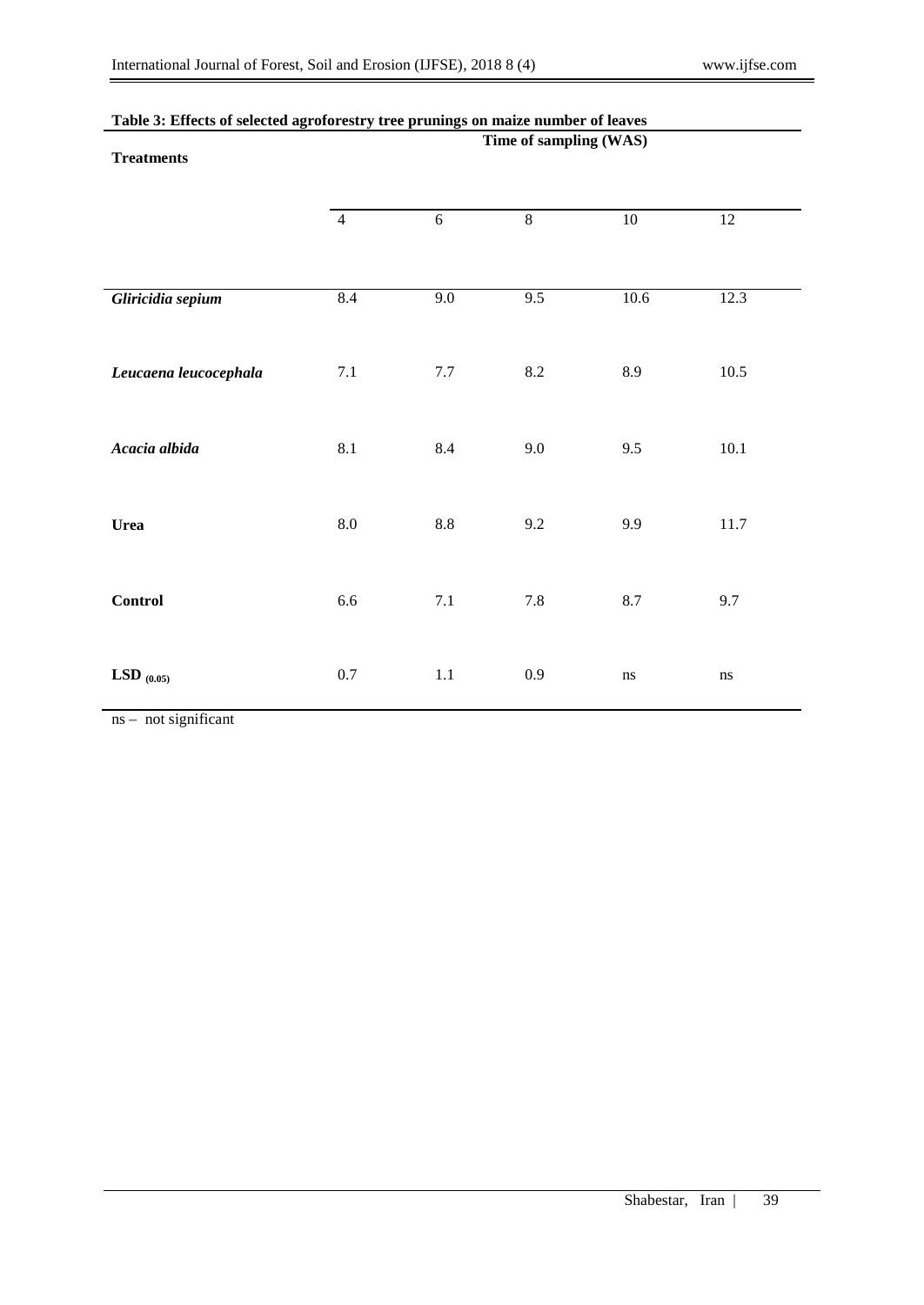|                       | Time of sampling (WAS) |            |                |                 |                 |
|-----------------------|------------------------|------------|----------------|-----------------|-----------------|
| <b>Treatments</b>     |                        |            |                |                 |                 |
|                       |                        |            |                |                 |                 |
|                       | $\overline{4}$         | 6          | $\overline{8}$ | $\overline{10}$ | $\overline{12}$ |
|                       |                        |            |                |                 |                 |
|                       |                        |            |                |                 |                 |
| Gliricidia sepium     | 8.4                    | 9.0        | 9.5            | 10.6            | 12.3            |
|                       |                        |            |                |                 |                 |
|                       |                        |            |                |                 |                 |
| Leucaena leucocephala | $7.1\,$                | $7.7\,$    | $8.2\,$        | 8.9             | 10.5            |
|                       |                        |            |                |                 |                 |
| Acacia albida         | 8.1                    | 8.4        | 9.0            | 9.5             | $10.1\,$        |
|                       |                        |            |                |                 |                 |
|                       |                        |            |                |                 |                 |
| <b>Urea</b>           | $\rm 8.0$              | $\ \, 8.8$ | 9.2            | 9.9             | 11.7            |
|                       |                        |            |                |                 |                 |
|                       |                        |            |                |                 |                 |
| Control               | 6.6                    | $7.1\,$    | $7.8\,$        | $8.7\,$         | 9.7             |
|                       |                        |            |                |                 |                 |
|                       |                        |            |                |                 |                 |
| LSD $_{(0.05)}$       | $0.7\,$                | $1.1\,$    | $0.9\,$        | $\bf ns$        | ns              |

# **Table 3: Effects of selected agroforestry tree prunings on maize number of leaves**

ns – not significant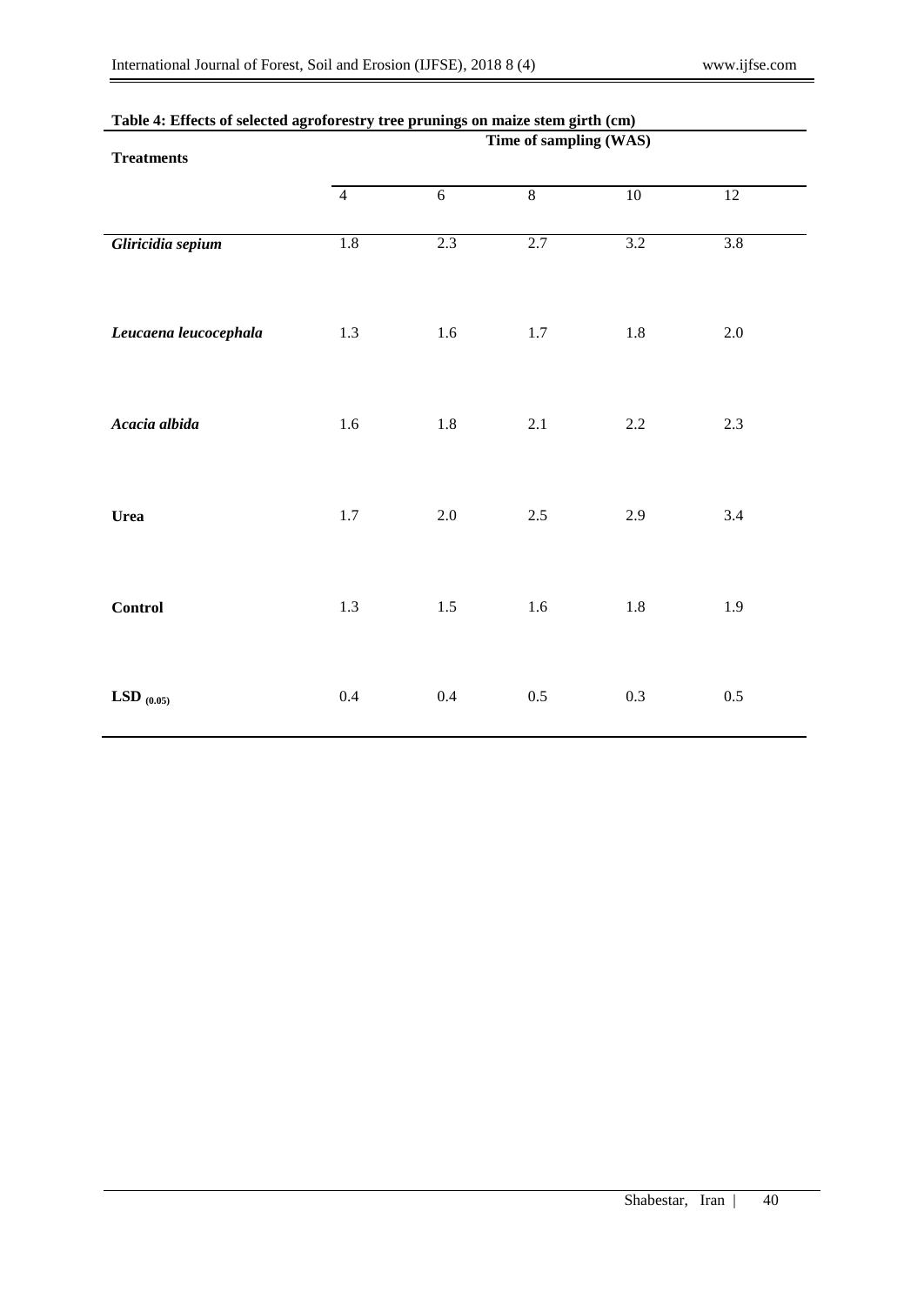| ,,, ,, ,,,,,,,, ,,    | $0 - 0 - 0 - 0 - 0$<br>$\overline{a}$<br>$\cdots$<br>Time of sampling (WAS) |                |         |         |         |  |  |  |
|-----------------------|-----------------------------------------------------------------------------|----------------|---------|---------|---------|--|--|--|
| <b>Treatments</b>     |                                                                             |                |         |         |         |  |  |  |
|                       | $\overline{4}$                                                              | $\overline{6}$ | 8       | $10\,$  | 12      |  |  |  |
| Gliricidia sepium     | $1.8\,$                                                                     | 2.3            | 2.7     | 3.2     | 3.8     |  |  |  |
| Leucaena leucocephala | $1.3\,$                                                                     | 1.6            | 1.7     | $1.8\,$ | $2.0\,$ |  |  |  |
| Acacia albida         | $1.6\,$                                                                     | $1.8\,$        | 2.1     | $2.2\,$ | $2.3\,$ |  |  |  |
| <b>Urea</b>           | $1.7\,$                                                                     | $2.0\,$        | $2.5\,$ | 2.9     | 3.4     |  |  |  |
| <b>Control</b>        | $1.3\,$                                                                     | $1.5\,$        | $1.6\,$ | $1.8\,$ | 1.9     |  |  |  |
| LSD $_{(0.05)}$       | $0.4\,$                                                                     | $0.4\,$        | $0.5\,$ | $0.3\,$ | $0.5\,$ |  |  |  |

## **Table 4: Effects of selected agroforestry tree prunings on maize stem girth (cm)**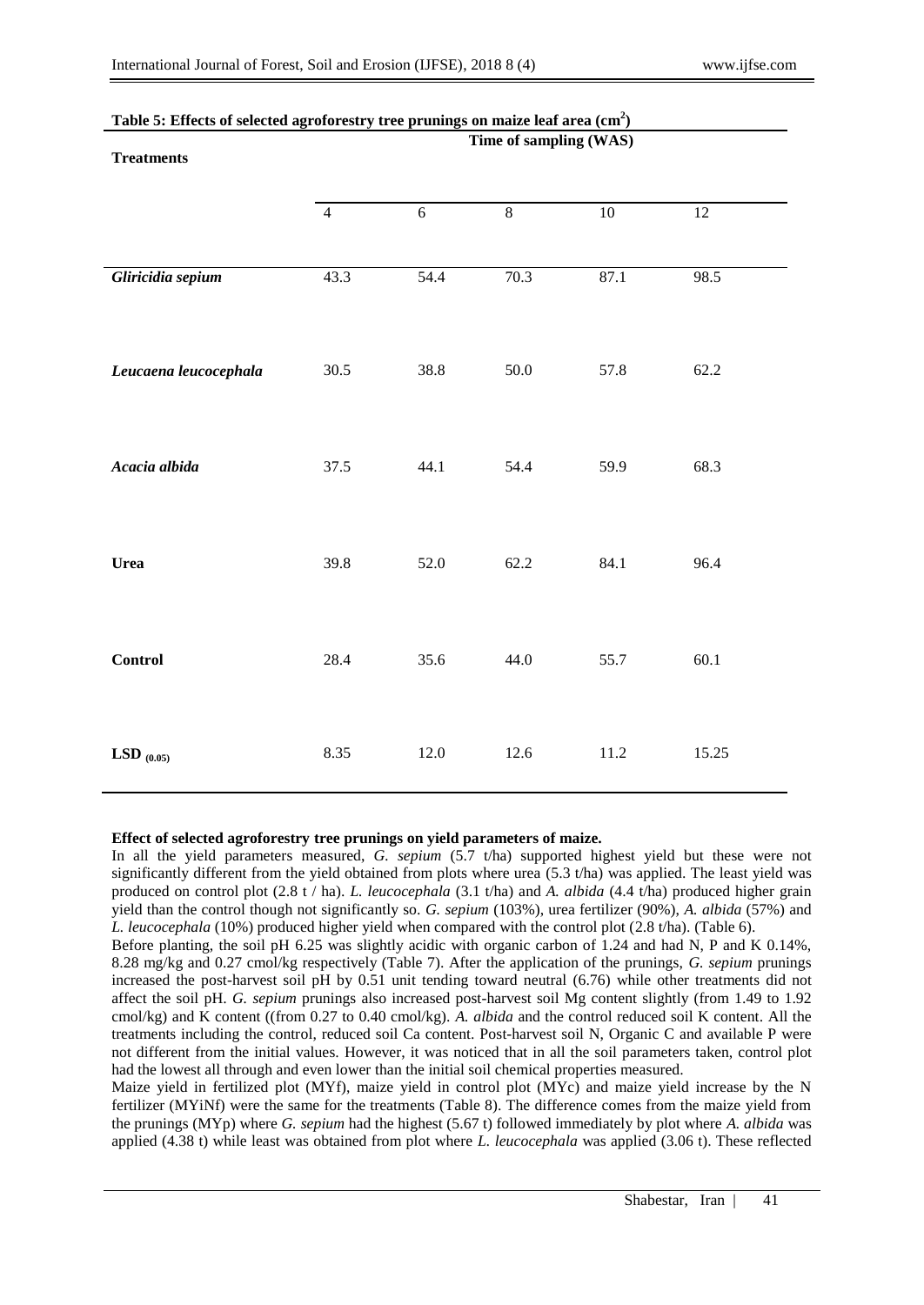| <b>Treatments</b>     | Time of sampling (WAS) |                |                |                 |                 |  |  |  |
|-----------------------|------------------------|----------------|----------------|-----------------|-----------------|--|--|--|
|                       | $\overline{4}$         | $\overline{6}$ | $\overline{8}$ | $\overline{10}$ | $\overline{12}$ |  |  |  |
| Gliricidia sepium     | 43.3                   | 54.4           | 70.3           | 87.1            | 98.5            |  |  |  |
| Leucaena leucocephala | 30.5                   | 38.8           | $50.0\,$       | 57.8            | 62.2            |  |  |  |
| Acacia albida         | 37.5                   | 44.1           | 54.4           | 59.9            | 68.3            |  |  |  |
| Urea                  | 39.8                   | 52.0           | 62.2           | 84.1            | 96.4            |  |  |  |
| <b>Control</b>        | 28.4                   | 35.6           | 44.0           | 55.7            | 60.1            |  |  |  |
| LSD $_{(0.05)}$       | 8.35                   | 12.0           | 12.6           | 11.2            | 15.25           |  |  |  |

# **Table 5: Effects of selected agroforestry tree prunings on maize leaf area (cm<sup>2</sup> )**

## **Effect of selected agroforestry tree prunings on yield parameters of maize.**

In all the yield parameters measured, *G. sepium* (5.7 t/ha) supported highest yield but these were not significantly different from the yield obtained from plots where urea (5.3 t/ha) was applied. The least yield was produced on control plot (2.8 t / ha). *L. leucocephala* (3.1 t/ha) and *A. albida* (4.4 t/ha) produced higher grain yield than the control though not significantly so. *G. sepium* (103%), urea fertilizer (90%), *A. albida* (57%) and *L. leucocephala* (10%) produced higher yield when compared with the control plot (2.8 t/ha). (Table 6).

Before planting, the soil pH 6.25 was slightly acidic with organic carbon of 1.24 and had N, P and K 0.14%, 8.28 mg/kg and 0.27 cmol/kg respectively (Table 7). After the application of the prunings, *G. sepium* prunings increased the post-harvest soil pH by 0.51 unit tending toward neutral (6.76) while other treatments did not affect the soil pH. *G. sepium* prunings also increased post-harvest soil Mg content slightly (from 1.49 to 1.92 cmol/kg) and K content ((from 0.27 to 0.40 cmol/kg). *A. albida* and the control reduced soil K content. All the treatments including the control, reduced soil Ca content. Post-harvest soil N, Organic C and available P were not different from the initial values. However, it was noticed that in all the soil parameters taken, control plot had the lowest all through and even lower than the initial soil chemical properties measured.

Maize yield in fertilized plot (MYf), maize yield in control plot (MYc) and maize yield increase by the N fertilizer (MYiNf) were the same for the treatments (Table 8). The difference comes from the maize yield from the prunings (MYp) where *G. sepium* had the highest (5.67 t) followed immediately by plot where *A. albida* was applied (4.38 t) while least was obtained from plot where *L. leucocephala* was applied (3.06 t). These reflected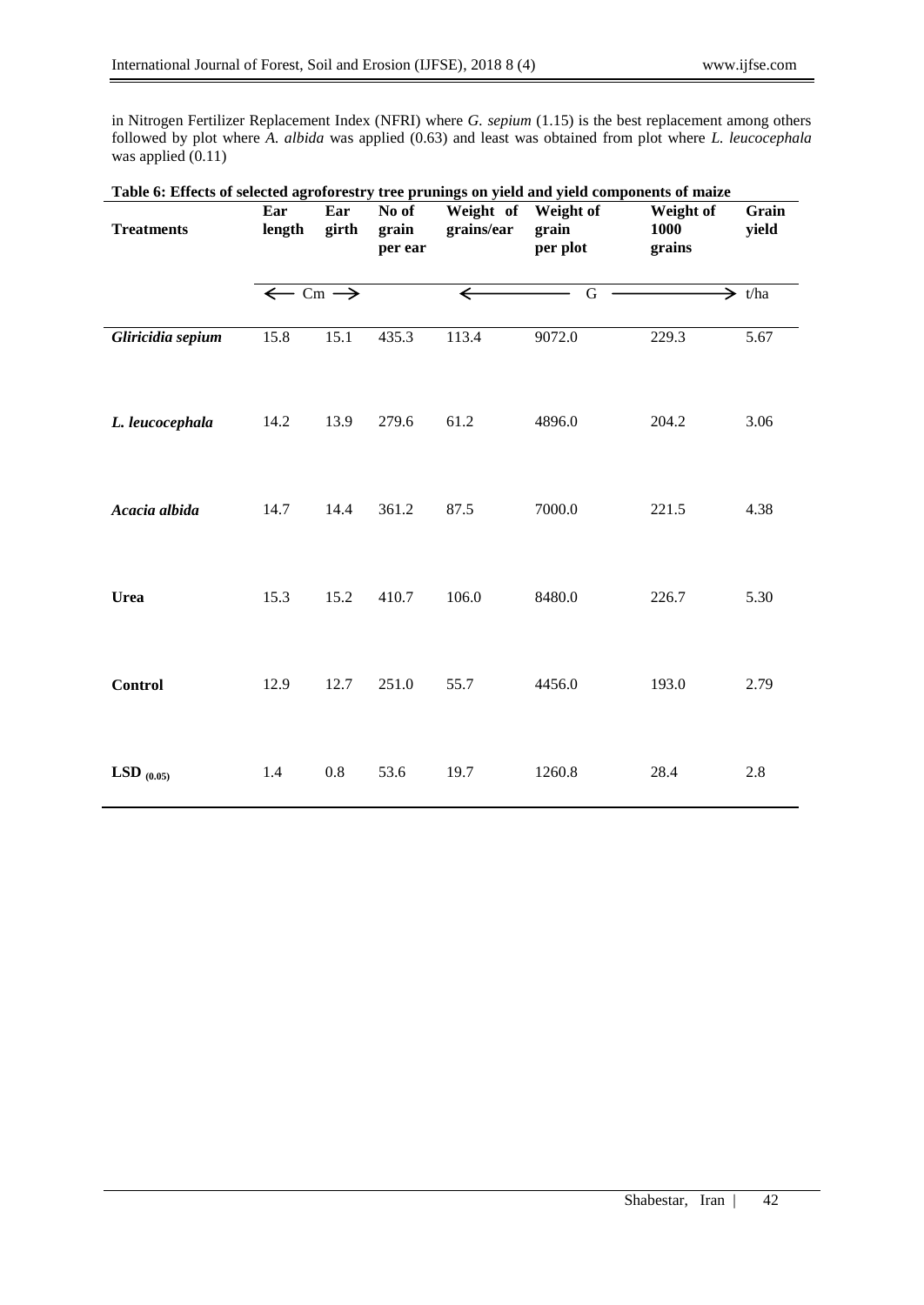in Nitrogen Fertilizer Replacement Index (NFRI) where *G. sepium* (1.15) is the best replacement among others followed by plot where *A. albida* was applied (0.63) and least was obtained from plot where *L. leucocephala* was applied  $(0.11)$ 

| Table 6: Effects of selected agroforestry tree prunings on yield and yield components of maize |                               |              |                           |                                   |                   |                             |                    |
|------------------------------------------------------------------------------------------------|-------------------------------|--------------|---------------------------|-----------------------------------|-------------------|-----------------------------|--------------------|
| <b>Treatments</b>                                                                              | Ear<br>length                 | Ear<br>girth | No of<br>grain<br>per ear | Weight of Weight of<br>grains/ear | grain<br>per plot | Weight of<br>1000<br>grains | Grain<br>yield     |
|                                                                                                | $\leftarrow$ Cm $\rightarrow$ |              |                           | $\leftarrow$                      | G                 |                             | $\Rightarrow$ t/ha |
| Gliricidia sepium                                                                              | 15.8                          | 15.1         | 435.3                     | 113.4                             | 9072.0            | 229.3                       | 5.67               |
| L. leucocephala                                                                                | 14.2                          | 13.9         | 279.6                     | 61.2                              | 4896.0            | 204.2                       | 3.06               |
| Acacia albida                                                                                  | 14.7                          | 14.4         | 361.2                     | 87.5                              | 7000.0            | 221.5                       | 4.38               |
| <b>Urea</b>                                                                                    | 15.3                          | 15.2         | 410.7                     | 106.0                             | 8480.0            | 226.7                       | 5.30               |
| <b>Control</b>                                                                                 | 12.9                          | 12.7         | 251.0                     | 55.7                              | 4456.0            | 193.0                       | 2.79               |
| LSD $(0.05)$                                                                                   | 1.4                           | 0.8          | 53.6                      | 19.7                              | 1260.8            | 28.4                        | 2.8                |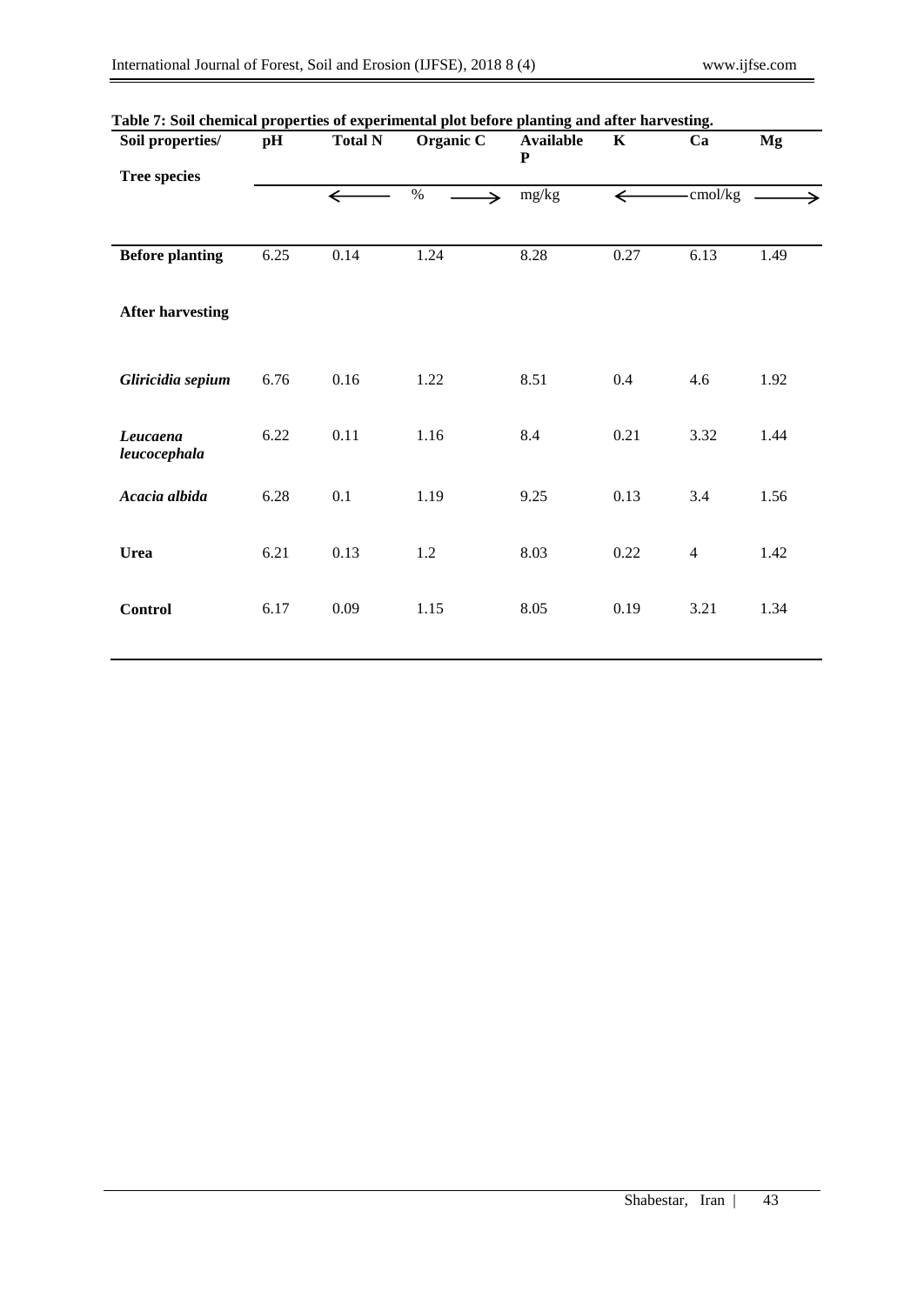| Soil properties/<br><b>Tree species</b> | pH   | <b>Total N</b> | Organic C             | <b>Available</b><br>$\mathbf P$ | $\mathbf K$  | Ca             | Mg   |
|-----------------------------------------|------|----------------|-----------------------|---------------------------------|--------------|----------------|------|
|                                         |      | $\leftarrow$   | $\%$<br>$\rightarrow$ | mg/kg                           | $\leftarrow$ | -cmol/kg       |      |
| <b>Before planting</b>                  | 6.25 | 0.14           | 1.24                  | 8.28                            | 0.27         | 6.13           | 1.49 |
| <b>After harvesting</b>                 |      |                |                       |                                 |              |                |      |
| Gliricidia sepium                       | 6.76 | 0.16           | 1.22                  | 8.51                            | $0.4\,$      | 4.6            | 1.92 |
| Leucaena<br>leucocephala                | 6.22 | 0.11           | 1.16                  | 8.4                             | 0.21         | 3.32           | 1.44 |
| Acacia albida                           | 6.28 | 0.1            | 1.19                  | 9.25                            | 0.13         | 3.4            | 1.56 |
| <b>Urea</b>                             | 6.21 | 0.13           | 1.2                   | 8.03                            | 0.22         | $\overline{4}$ | 1.42 |
| <b>Control</b>                          | 6.17 | 0.09           | 1.15                  | 8.05                            | 0.19         | 3.21           | 1.34 |

# **Table 7: Soil chemical properties of experimental plot before planting and after harvesting.**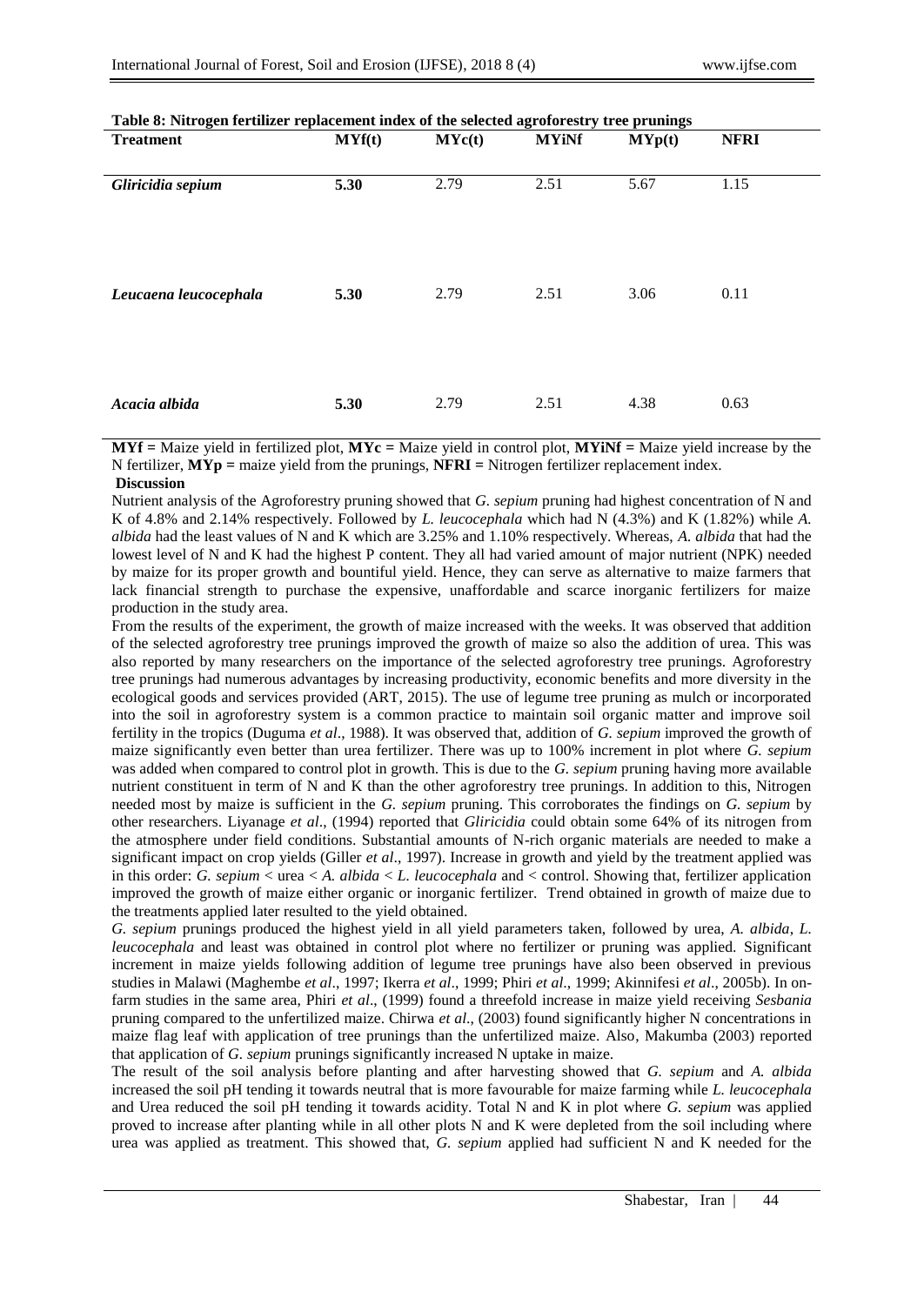| Table 8: Nitrogen fertilizer replacement index of the selected agroforestry tree prunings<br><b>Treatment</b> | MYf(t) | MYc(t) | <b>MYiNf</b> | MYp(t) | <b>NFRI</b> |  |
|---------------------------------------------------------------------------------------------------------------|--------|--------|--------------|--------|-------------|--|
|                                                                                                               |        |        |              |        |             |  |
| Gliricidia sepium                                                                                             | 5.30   | 2.79   | 2.51         | 5.67   | 1.15        |  |
| Leucaena leucocephala                                                                                         | 5.30   | 2.79   | 2.51         | 3.06   | 0.11        |  |
| Acacia albida                                                                                                 | 5.30   | 2.79   | 2.51         | 4.38   | 0.63        |  |

| Table 8: Nitrogen fertilizer replacement index of the selected agroforestry tree prunings |  |  |  |
|-------------------------------------------------------------------------------------------|--|--|--|
|                                                                                           |  |  |  |

**MYf =** Maize yield in fertilized plot, **MYc =** Maize yield in control plot, **MYiNf =** Maize yield increase by the N fertilizer, **MYp =** maize yield from the prunings, **NFRI =** Nitrogen fertilizer replacement index.

## **Discussion**

Nutrient analysis of the Agroforestry pruning showed that *G. sepium* pruning had highest concentration of N and K of 4.8% and 2.14% respectively. Followed by *L. leucocephala* which had N (4.3%) and K (1.82%) while *A. albida* had the least values of N and K which are 3.25% and 1.10% respectively. Whereas, *A. albida* that had the lowest level of N and K had the highest P content. They all had varied amount of major nutrient (NPK) needed by maize for its proper growth and bountiful yield. Hence, they can serve as alternative to maize farmers that lack financial strength to purchase the expensive, unaffordable and scarce inorganic fertilizers for maize production in the study area.

From the results of the experiment, the growth of maize increased with the weeks. It was observed that addition of the selected agroforestry tree prunings improved the growth of maize so also the addition of urea. This was also reported by many researchers on the importance of the selected agroforestry tree prunings. Agroforestry tree prunings had numerous advantages by increasing productivity, economic benefits and more diversity in the ecological goods and services provided (ART, 2015). The use of legume tree pruning as mulch or incorporated into the soil in agroforestry system is a common practice to maintain soil organic matter and improve soil fertility in the tropics (Duguma *et al*., 1988). It was observed that, addition of *G. sepium* improved the growth of maize significantly even better than urea fertilizer. There was up to 100% increment in plot where *G. sepium* was added when compared to control plot in growth. This is due to the *G. sepium* pruning having more available nutrient constituent in term of N and K than the other agroforestry tree prunings. In addition to this, Nitrogen needed most by maize is sufficient in the *G. sepium* pruning. This corroborates the findings on *G. sepium* by other researchers. Liyanage *et al*., (1994) reported that *Gliricidia* could obtain some 64% of its nitrogen from the atmosphere under field conditions. Substantial amounts of N-rich organic materials are needed to make a significant impact on crop yields (Giller *et al*., 1997). Increase in growth and yield by the treatment applied was in this order: *G. sepium* < urea < *A. albida* < *L. leucocephala* and < control. Showing that, fertilizer application improved the growth of maize either organic or inorganic fertilizer. Trend obtained in growth of maize due to the treatments applied later resulted to the yield obtained.

*G. sepium* prunings produced the highest yield in all yield parameters taken, followed by urea, *A. albida*, *L. leucocephala* and least was obtained in control plot where no fertilizer or pruning was applied. Significant increment in maize yields following addition of legume tree prunings have also been observed in previous studies in Malawi (Maghembe *et al*., 1997; Ikerra *et al*., 1999; Phiri *et al*., 1999; Akinnifesi *et al*., 2005b). In onfarm studies in the same area, Phiri *et al*., (1999) found a threefold increase in maize yield receiving *Sesbania* pruning compared to the unfertilized maize. Chirwa *et al*., (2003) found significantly higher N concentrations in maize flag leaf with application of tree prunings than the unfertilized maize. Also, Makumba (2003) reported that application of *G. sepium* prunings significantly increased N uptake in maize.

The result of the soil analysis before planting and after harvesting showed that *G. sepium* and *A. albida* increased the soil pH tending it towards neutral that is more favourable for maize farming while *L. leucocephala* and Urea reduced the soil pH tending it towards acidity. Total N and K in plot where *G. sepium* was applied proved to increase after planting while in all other plots N and K were depleted from the soil including where urea was applied as treatment. This showed that, *G. sepium* applied had sufficient N and K needed for the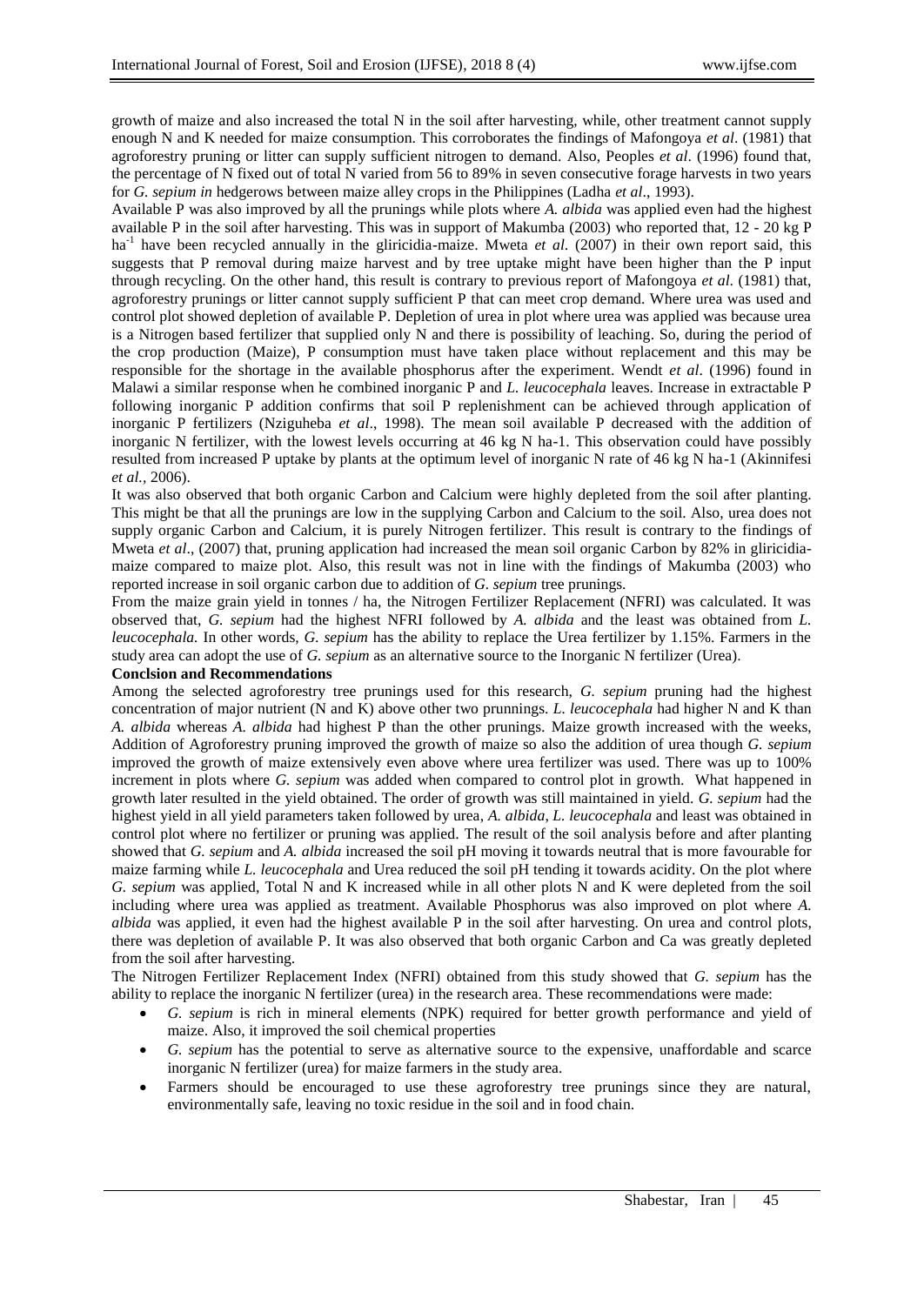growth of maize and also increased the total N in the soil after harvesting, while, other treatment cannot supply enough N and K needed for maize consumption. This corroborates the findings of Mafongoya *et al*. (1981) that agroforestry pruning or litter can supply sufficient nitrogen to demand. Also, Peoples *et al*. (1996) found that, the percentage of N fixed out of total N varied from 56 to 89% in seven consecutive forage harvests in two years for *G. sepium in* hedgerows between maize alley crops in the Philippines (Ladha *et al*., 1993).

Available P was also improved by all the prunings while plots where *A. albida* was applied even had the highest available P in the soil after harvesting. This was in support of Makumba (2003) who reported that, 12 - 20 kg P ha<sup>-1</sup> have been recycled annually in the gliricidia-maize. Mweta *et al.* (2007) in their own report said, this suggests that P removal during maize harvest and by tree uptake might have been higher than the P input through recycling. On the other hand, this result is contrary to previous report of Mafongoya *et al*. (1981) that, agroforestry prunings or litter cannot supply sufficient P that can meet crop demand. Where urea was used and control plot showed depletion of available P. Depletion of urea in plot where urea was applied was because urea is a Nitrogen based fertilizer that supplied only N and there is possibility of leaching. So, during the period of the crop production (Maize), P consumption must have taken place without replacement and this may be responsible for the shortage in the available phosphorus after the experiment. Wendt *et al*. (1996) found in Malawi a similar response when he combined inorganic P and *L. leucocephala* leaves. Increase in extractable P following inorganic P addition confirms that soil P replenishment can be achieved through application of inorganic P fertilizers (Nziguheba *et al*., 1998). The mean soil available P decreased with the addition of inorganic N fertilizer, with the lowest levels occurring at 46 kg N ha-1. This observation could have possibly resulted from increased P uptake by plants at the optimum level of inorganic N rate of 46 kg N ha-1 (Akinnifesi *et al.,* 2006).

It was also observed that both organic Carbon and Calcium were highly depleted from the soil after planting. This might be that all the prunings are low in the supplying Carbon and Calcium to the soil. Also, urea does not supply organic Carbon and Calcium, it is purely Nitrogen fertilizer. This result is contrary to the findings of Mweta *et al.*, (2007) that, pruning application had increased the mean soil organic Carbon by 82% in gliricidiamaize compared to maize plot. Also, this result was not in line with the findings of Makumba (2003) who reported increase in soil organic carbon due to addition of *G. sepium* tree prunings.

From the maize grain yield in tonnes / ha, the Nitrogen Fertilizer Replacement (NFRI) was calculated. It was observed that, *G. sepium* had the highest NFRI followed by *A. albida* and the least was obtained from *L. leucocephala.* In other words, *G. sepium* has the ability to replace the Urea fertilizer by 1.15%. Farmers in the study area can adopt the use of *G. sepium* as an alternative source to the Inorganic N fertilizer (Urea).

#### **Conclsion and Recommendations**

Among the selected agroforestry tree prunings used for this research, *G. sepium* pruning had the highest concentration of major nutrient (N and K) above other two prunnings. *L. leucocephala* had higher N and K than *A. albida* whereas *A. albida* had highest P than the other prunings. Maize growth increased with the weeks, Addition of Agroforestry pruning improved the growth of maize so also the addition of urea though *G. sepium* improved the growth of maize extensively even above where urea fertilizer was used. There was up to 100% increment in plots where *G. sepium* was added when compared to control plot in growth. What happened in growth later resulted in the yield obtained. The order of growth was still maintained in yield. *G. sepium* had the highest yield in all yield parameters taken followed by urea, *A. albida*, *L. leucocephala* and least was obtained in control plot where no fertilizer or pruning was applied. The result of the soil analysis before and after planting showed that *G. sepium* and *A. albida* increased the soil pH moving it towards neutral that is more favourable for maize farming while *L. leucocephala* and Urea reduced the soil pH tending it towards acidity. On the plot where *G. sepium* was applied, Total N and K increased while in all other plots N and K were depleted from the soil including where urea was applied as treatment. Available Phosphorus was also improved on plot where *A. albida* was applied, it even had the highest available P in the soil after harvesting. On urea and control plots, there was depletion of available P. It was also observed that both organic Carbon and Ca was greatly depleted from the soil after harvesting.

The Nitrogen Fertilizer Replacement Index (NFRI) obtained from this study showed that *G. sepium* has the ability to replace the inorganic N fertilizer (urea) in the research area. These recommendations were made:

- *G. sepium* is rich in mineral elements (NPK) required for better growth performance and yield of maize. Also, it improved the soil chemical properties
- *G. sepium* has the potential to serve as alternative source to the expensive, unaffordable and scarce inorganic N fertilizer (urea) for maize farmers in the study area.
- Farmers should be encouraged to use these agroforestry tree prunings since they are natural, environmentally safe, leaving no toxic residue in the soil and in food chain.